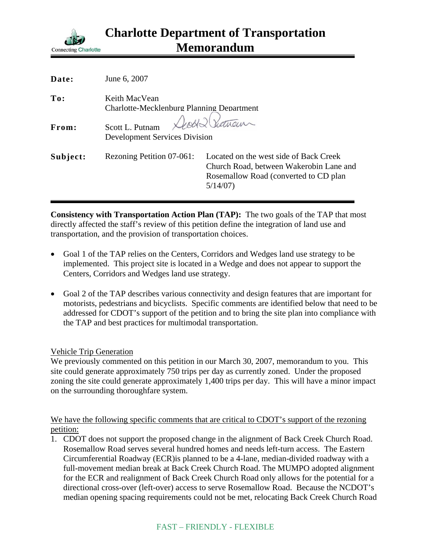

| Date:    | June 6, 2007                                                      |                                                                                                                                        |
|----------|-------------------------------------------------------------------|----------------------------------------------------------------------------------------------------------------------------------------|
| To:      | Keith MacVean<br><b>Charlotte-Mecklenburg Planning Department</b> |                                                                                                                                        |
| From:    | Scott L. Putnam<br><b>Development Services Division</b>           | Death Showan                                                                                                                           |
| Subject: | Rezoning Petition 07-061:                                         | Located on the west side of Back Creek<br>Church Road, between Wakerobin Lane and<br>Rosemallow Road (converted to CD plan)<br>5/14/07 |

**Consistency with Transportation Action Plan (TAP):** The two goals of the TAP that most directly affected the staff's review of this petition define the integration of land use and transportation, and the provision of transportation choices.

- Goal 1 of the TAP relies on the Centers, Corridors and Wedges land use strategy to be implemented. This project site is located in a Wedge and does not appear to support the Centers, Corridors and Wedges land use strategy.
- Goal 2 of the TAP describes various connectivity and design features that are important for motorists, pedestrians and bicyclists. Specific comments are identified below that need to be addressed for CDOT's support of the petition and to bring the site plan into compliance with the TAP and best practices for multimodal transportation.

## Vehicle Trip Generation

We previously commented on this petition in our March 30, 2007, memorandum to you. This site could generate approximately 750 trips per day as currently zoned. Under the proposed zoning the site could generate approximately 1,400 trips per day. This will have a minor impact on the surrounding thoroughfare system.

We have the following specific comments that are critical to CDOT's support of the rezoning petition:

1. CDOT does not support the proposed change in the alignment of Back Creek Church Road. Rosemallow Road serves several hundred homes and needs left-turn access. The Eastern Circumferential Roadway (ECR)is planned to be a 4-lane, median-divided roadway with a full-movement median break at Back Creek Church Road. The MUMPO adopted alignment for the ECR and realignment of Back Creek Church Road only allows for the potential for a directional cross-over (left-over) access to serve Rosemallow Road. Because the NCDOT's median opening spacing requirements could not be met, relocating Back Creek Church Road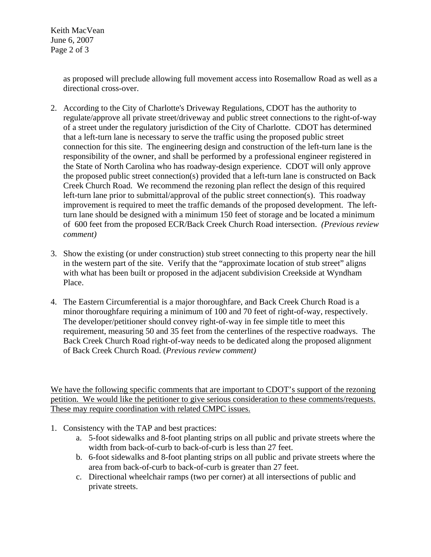Keith MacVean June 6, 2007 Page 2 of 3

> as proposed will preclude allowing full movement access into Rosemallow Road as well as a directional cross-over.

- 2. According to the City of Charlotte's Driveway Regulations, CDOT has the authority to regulate/approve all private street/driveway and public street connections to the right-of-way of a street under the regulatory jurisdiction of the City of Charlotte. CDOT has determined that a left-turn lane is necessary to serve the traffic using the proposed public street connection for this site. The engineering design and construction of the left-turn lane is the responsibility of the owner, and shall be performed by a professional engineer registered in the State of North Carolina who has roadway-design experience. CDOT will only approve the proposed public street connection(s) provided that a left-turn lane is constructed on Back Creek Church Road. We recommend the rezoning plan reflect the design of this required left-turn lane prior to submittal/approval of the public street connection(s). This roadway improvement is required to meet the traffic demands of the proposed development. The leftturn lane should be designed with a minimum 150 feet of storage and be located a minimum of 600 feet from the proposed ECR/Back Creek Church Road intersection. *(Previous review comment)*
- 3. Show the existing (or under construction) stub street connecting to this property near the hill in the western part of the site. Verify that the "approximate location of stub street" aligns with what has been built or proposed in the adjacent subdivision Creekside at Wyndham Place.
- 4. The Eastern Circumferential is a major thoroughfare, and Back Creek Church Road is a minor thoroughfare requiring a minimum of 100 and 70 feet of right-of-way, respectively. The developer/petitioner should convey right-of-way in fee simple title to meet this requirement, measuring 50 and 35 feet from the centerlines of the respective roadways. The Back Creek Church Road right-of-way needs to be dedicated along the proposed alignment of Back Creek Church Road. (*Previous review comment)*

We have the following specific comments that are important to CDOT's support of the rezoning petition. We would like the petitioner to give serious consideration to these comments/requests. These may require coordination with related CMPC issues.

- 1. Consistency with the TAP and best practices:
	- a. 5-foot sidewalks and 8-foot planting strips on all public and private streets where the width from back-of-curb to back-of-curb is less than 27 feet.
	- b. 6-foot sidewalks and 8-foot planting strips on all public and private streets where the area from back-of-curb to back-of-curb is greater than 27 feet.
	- c. Directional wheelchair ramps (two per corner) at all intersections of public and private streets.